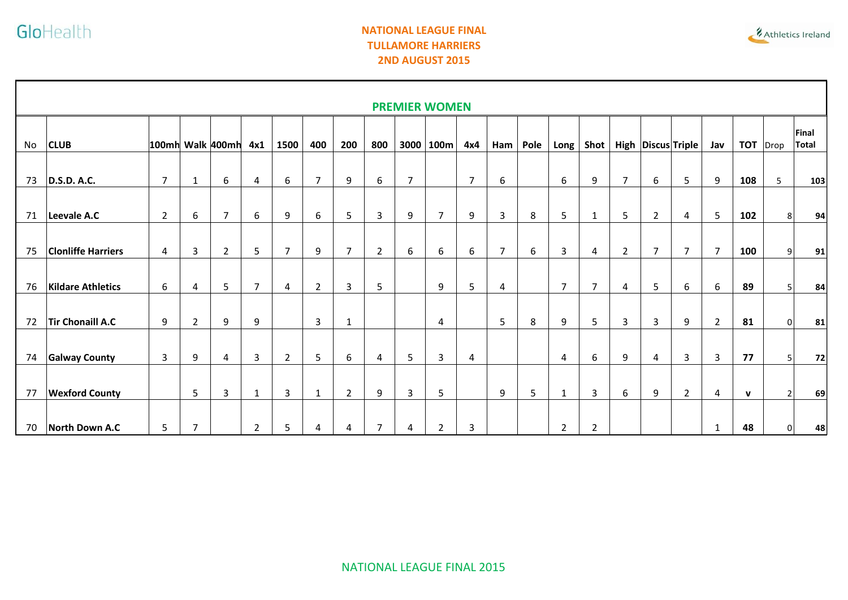Г

## **NATIONAL LEAGUE FINAL TULLAMORE HARRIERS 2ND AUGUST 2015**



| <b>PREMIER WOMEN</b> |                           |                |                |                  |                |                |                |                |                |                |                |                |                |      |                |                |                |                |                        |                |              |                |                |
|----------------------|---------------------------|----------------|----------------|------------------|----------------|----------------|----------------|----------------|----------------|----------------|----------------|----------------|----------------|------|----------------|----------------|----------------|----------------|------------------------|----------------|--------------|----------------|----------------|
| No                   | <b>CLUB</b>               |                |                | 100mh Walk 400mh | 4x1            | 1500           | 400            | 200            | 800            | 3000           | 100m           | 4x4            | Ham            | Pole | Long           | Shot           |                |                | High   Discus   Triple | Jav            | <b>TOT</b>   | Drop           | Final<br>Total |
|                      |                           |                |                |                  |                |                |                |                |                |                |                |                |                |      |                |                |                |                |                        |                |              |                |                |
| 73                   | <b>D.S.D. A.C.</b>        | $\overline{7}$ | 1              | 6                | 4              | 6              | $\overline{7}$ | 9              | 6              | $\overline{7}$ |                | $\overline{7}$ | 6              |      | 6              | 9              | $\overline{7}$ | 6              | 5                      | 9              | 108          | 5              | 103            |
| 71                   | Leevale A.C               | $\overline{2}$ | 6              | $\overline{7}$   | 6              | 9              | 6              | 5              | 3              | 9              | $\overline{7}$ | 9              | 3              | 8    | 5              | $\mathbf{1}$   | 5              | 2              | 4                      | 5              | 102          | 8              | 94             |
|                      |                           |                |                |                  |                |                |                |                |                |                |                |                |                |      |                |                |                |                |                        |                |              |                |                |
| 75                   | <b>Clonliffe Harriers</b> | 4              | 3              | $\overline{2}$   | 5              | $\overline{7}$ | 9              | $\overline{7}$ | $\overline{2}$ | 6              | 6              | 6              | $\overline{7}$ | 6    | 3              | 4              | $\overline{2}$ | $\overline{7}$ | $\overline{7}$         | $\overline{7}$ | 100          | 9              | 91             |
| 76                   | <b>Kildare Athletics</b>  | 6              | 4              | 5                | $\overline{7}$ | 4              | $\overline{2}$ | $\overline{3}$ | 5              |                | 9              | 5              | 4              |      | $\overline{7}$ | $\overline{7}$ | 4              | 5              | 6                      | 6              | 89           | 5 <sub>l</sub> | 84             |
| 72                   | Tir Chonaill A.C          | 9              | $\overline{2}$ | 9                | 9              |                | 3              | $\mathbf{1}$   |                |                | $\overline{4}$ |                | 5              | 8    | 9              | 5              | 3              | 3              | 9                      | $\overline{2}$ | 81           | 0l             | 81             |
| 74                   | <b>Galway County</b>      | $\overline{3}$ | 9              | 4                | $\mathbf{3}$   | $\overline{2}$ | 5              | 6              | 4              | 5              | 3              | 4              |                |      | 4              | 6              | 9              | 4              | 3                      | 3              | 77           | 5 <sup>1</sup> | 72             |
|                      |                           |                |                |                  |                |                |                |                |                |                |                |                |                |      |                |                |                |                |                        |                |              |                |                |
| 77                   | <b>Wexford County</b>     |                | 5              | 3                | $\mathbf{1}$   | 3              | $\mathbf{1}$   | $\overline{2}$ | 9              | 3              | 5              |                | 9              | 5    | $\mathbf{1}$   | 3              | 6              | 9              | $\overline{2}$         | 4              | $\mathbf{v}$ | $\overline{2}$ | 69             |
| 70                   | North Down A.C            | 5              | $\overline{7}$ |                  | $\overline{2}$ | 5              | 4              | 4              | $\overline{7}$ | 4              | $\overline{2}$ | 3              |                |      | $\overline{2}$ | $\overline{2}$ |                |                |                        |                | 48           | 0              | 48             |